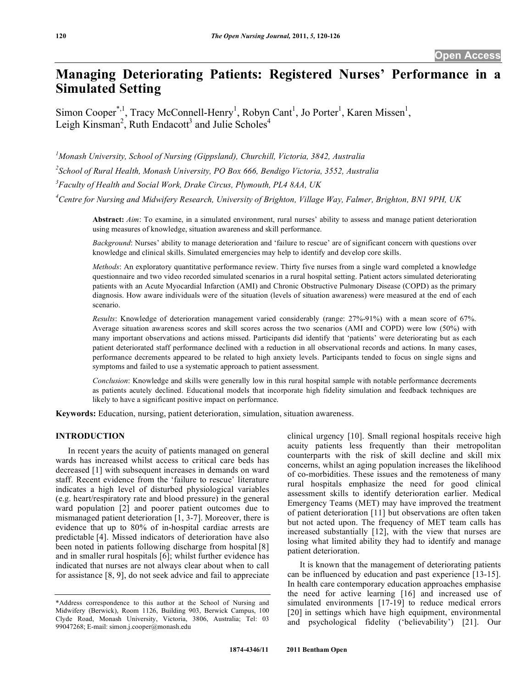# **Managing Deteriorating Patients: Registered Nurses' Performance in a Simulated Setting**

Simon Cooper<sup>\*,1</sup>, Tracy McConnell-Henry<sup>1</sup>, Robyn Cant<sup>1</sup>, Jo Porter<sup>1</sup>, Karen Missen<sup>1</sup>, Leigh Kinsman<sup>2</sup>, Ruth Endacott<sup>3</sup> and Julie Scholes<sup>4</sup>

<sup>1</sup> Monash University, School of Nursing (Gippsland), Churchill, Victoria, 3842, Australia

*2 School of Rural Health, Monash University, PO Box 666, Bendigo Victoria, 3552, Australia* 

*3 Faculty of Health and Social Work, Drake Circus, Plymouth, PL4 8AA, UK* 

*4 Centre for Nursing and Midwifery Research, University of Brighton, Village Way, Falmer, Brighton, BN1 9PH, UK* 

**Abstract:** *Aim*: To examine, in a simulated environment, rural nurses' ability to assess and manage patient deterioration using measures of knowledge, situation awareness and skill performance.

*Background*: Nurses' ability to manage deterioration and 'failure to rescue' are of significant concern with questions over knowledge and clinical skills. Simulated emergencies may help to identify and develop core skills.

*Methods*: An exploratory quantitative performance review. Thirty five nurses from a single ward completed a knowledge questionnaire and two video recorded simulated scenarios in a rural hospital setting. Patient actors simulated deteriorating patients with an Acute Myocardial Infarction (AMI) and Chronic Obstructive Pulmonary Disease (COPD) as the primary diagnosis. How aware individuals were of the situation (levels of situation awareness) were measured at the end of each scenario.

*Results*: Knowledge of deterioration management varied considerably (range: 27%-91%) with a mean score of 67%. Average situation awareness scores and skill scores across the two scenarios (AMI and COPD) were low (50%) with many important observations and actions missed. Participants did identify that 'patients' were deteriorating but as each patient deteriorated staff performance declined with a reduction in all observational records and actions. In many cases, performance decrements appeared to be related to high anxiety levels. Participants tended to focus on single signs and symptoms and failed to use a systematic approach to patient assessment.

*Conclusion*: Knowledge and skills were generally low in this rural hospital sample with notable performance decrements as patients acutely declined. Educational models that incorporate high fidelity simulation and feedback techniques are likely to have a significant positive impact on performance.

**Keywords:** Education, nursing, patient deterioration, simulation, situation awareness.

#### **INTRODUCTION**

 In recent years the acuity of patients managed on general wards has increased whilst access to critical care beds has decreased [1] with subsequent increases in demands on ward staff. Recent evidence from the 'failure to rescue' literature indicates a high level of disturbed physiological variables (e.g. heart/respiratory rate and blood pressure) in the general ward population [2] and poorer patient outcomes due to mismanaged patient deterioration [1, 3-7]. Moreover, there is evidence that up to 80% of in-hospital cardiac arrests are predictable [4]. Missed indicators of deterioration have also been noted in patients following discharge from hospital [8] and in smaller rural hospitals [6]; whilst further evidence has indicated that nurses are not always clear about when to call for assistance [8, 9], do not seek advice and fail to appreciate

clinical urgency [10]. Small regional hospitals receive high acuity patients less frequently than their metropolitan counterparts with the risk of skill decline and skill mix concerns, whilst an aging population increases the likelihood of co-morbidities. These issues and the remoteness of many rural hospitals emphasize the need for good clinical assessment skills to identify deterioration earlier. Medical Emergency Teams (MET) may have improved the treatment of patient deterioration [11] but observations are often taken but not acted upon. The frequency of MET team calls has increased substantially [12], with the view that nurses are losing what limited ability they had to identify and manage patient deterioration.

 It is known that the management of deteriorating patients can be influenced by education and past experience [13-15]. In health care contemporary education approaches emphasise the need for active learning [16] and increased use of simulated environments [17-19] to reduce medical errors [20] in settings which have high equipment, environmental and psychological fidelity ('believability') [21]. Our

<sup>\*</sup>Address correspondence to this author at the School of Nursing and Midwifery (Berwick), Room 1126, Building 903, Berwick Campus, 100 Clyde Road, Monash University, Victoria, 3806, Australia; Tel: 03 99047268; E-mail: simon.j.cooper@monash.edu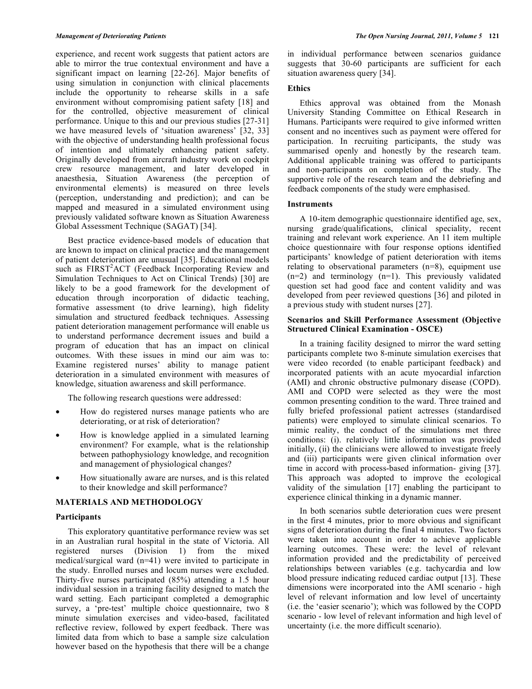experience, and recent work suggests that patient actors are able to mirror the true contextual environment and have a significant impact on learning [22-26]. Major benefits of using simulation in conjunction with clinical placements include the opportunity to rehearse skills in a safe environment without compromising patient safety [18] and for the controlled, objective measurement of clinical performance. Unique to this and our previous studies [27-31] we have measured levels of 'situation awareness' [32, 33] with the objective of understanding health professional focus of intention and ultimately enhancing patient safety. Originally developed from aircraft industry work on cockpit crew resource management, and later developed in anaesthesia, Situation Awareness (the perception of environmental elements) is measured on three levels (perception, understanding and prediction); and can be mapped and measured in a simulated environment using previously validated software known as Situation Awareness Global Assessment Technique (SAGAT) [34].

 Best practice evidence-based models of education that are known to impact on clinical practice and the management of patient deterioration are unusual [35]. Educational models such as FIRST<sup>2</sup>ACT (Feedback Incorporating Review and Simulation Techniques to Act on Clinical Trends) [30] are likely to be a good framework for the development of education through incorporation of didactic teaching, formative assessment (to drive learning), high fidelity simulation and structured feedback techniques. Assessing patient deterioration management performance will enable us to understand performance decrement issues and build a program of education that has an impact on clinical outcomes. With these issues in mind our aim was to: Examine registered nurses' ability to manage patient deterioration in a simulated environment with measures of knowledge, situation awareness and skill performance.

The following research questions were addressed:

- How do registered nurses manage patients who are deteriorating, or at risk of deterioration?
- How is knowledge applied in a simulated learning environment? For example, what is the relationship between pathophysiology knowledge, and recognition and management of physiological changes?
- How situationally aware are nurses, and is this related to their knowledge and skill performance?

# **MATERIALS AND METHODOLOGY**

#### **Participants**

 This exploratory quantitative performance review was set in an Australian rural hospital in the state of Victoria. All registered nurses (Division 1) from the mixed medical/surgical ward (n=41) were invited to participate in the study. Enrolled nurses and locum nurses were excluded. Thirty-five nurses participated (85%) attending a 1.5 hour individual session in a training facility designed to match the ward setting. Each participant completed a demographic survey, a 'pre-test' multiple choice questionnaire, two 8 minute simulation exercises and video-based, facilitated reflective review, followed by expert feedback. There was limited data from which to base a sample size calculation however based on the hypothesis that there will be a change

in individual performance between scenarios guidance suggests that 30-60 participants are sufficient for each situation awareness query [34].

# **Ethics**

 Ethics approval was obtained from the Monash University Standing Committee on Ethical Research in Humans. Participants were required to give informed written consent and no incentives such as payment were offered for participation. In recruiting participants, the study was summarised openly and honestly by the research team. Additional applicable training was offered to participants and non-participants on completion of the study. The supportive role of the research team and the debriefing and feedback components of the study were emphasised.

# **Instruments**

 A 10-item demographic questionnaire identified age, sex, nursing grade/qualifications, clinical speciality, recent training and relevant work experience. An 11 item multiple choice questionnaire with four response options identified participants' knowledge of patient deterioration with items relating to observational parameters (n=8), equipment use  $(n=2)$  and terminology  $(n=1)$ . This previously validated question set had good face and content validity and was developed from peer reviewed questions [36] and piloted in a previous study with student nurses [27].

# **Scenarios and Skill Performance Assessment (Objective Structured Clinical Examination - OSCE)**

 In a training facility designed to mirror the ward setting participants complete two 8-minute simulation exercises that were video recorded (to enable participant feedback) and incorporated patients with an acute myocardial infarction (AMI) and chronic obstructive pulmonary disease (COPD). AMI and COPD were selected as they were the most common presenting condition to the ward. Three trained and fully briefed professional patient actresses (standardised patients) were employed to simulate clinical scenarios. To mimic reality, the conduct of the simulations met three conditions: (i). relatively little information was provided initially, (ii) the clinicians were allowed to investigate freely and (iii) participants were given clinical information over time in accord with process-based information- giving [37]. This approach was adopted to improve the ecological validity of the simulation [17] enabling the participant to experience clinical thinking in a dynamic manner.

 In both scenarios subtle deterioration cues were present in the first 4 minutes, prior to more obvious and significant signs of deterioration during the final 4 minutes. Two factors were taken into account in order to achieve applicable learning outcomes. These were: the level of relevant information provided and the predictability of perceived relationships between variables (e.g. tachycardia and low blood pressure indicating reduced cardiac output [13]. These dimensions were incorporated into the AMI scenario - high level of relevant information and low level of uncertainty (i.e. the 'easier scenario'); which was followed by the COPD scenario - low level of relevant information and high level of uncertainty (i.e. the more difficult scenario).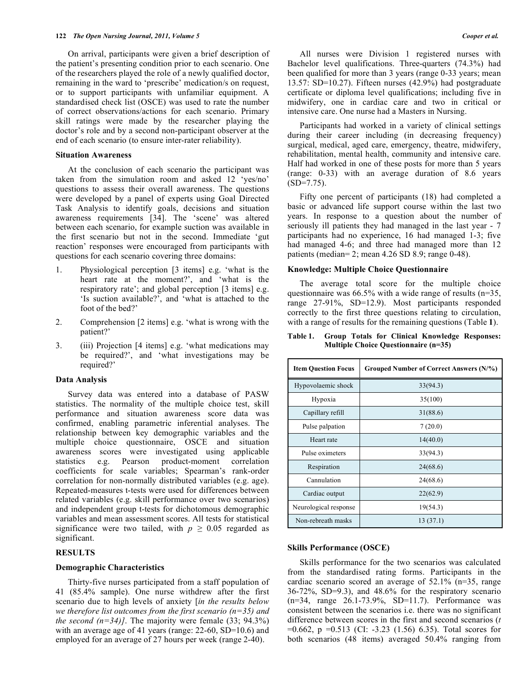On arrival, participants were given a brief description of the patient's presenting condition prior to each scenario. One of the researchers played the role of a newly qualified doctor, remaining in the ward to 'prescribe' medication/s on request, or to support participants with unfamiliar equipment. A standardised check list (OSCE) was used to rate the number of correct observations/actions for each scenario. Primary skill ratings were made by the researcher playing the doctor's role and by a second non-participant observer at the end of each scenario (to ensure inter-rater reliability).

#### **Situation Awareness**

 At the conclusion of each scenario the participant was taken from the simulation room and asked 12 'yes/no' questions to assess their overall awareness. The questions were developed by a panel of experts using Goal Directed Task Analysis to identify goals, decisions and situation awareness requirements [34]. The 'scene' was altered between each scenario, for example suction was available in the first scenario but not in the second. Immediate 'gut reaction' responses were encouraged from participants with questions for each scenario covering three domains:

- 1. Physiological perception [3 items] e.g. 'what is the heart rate at the moment?', and 'what is the respiratory rate'; and global perception [3 items] e.g. 'Is suction available?', and 'what is attached to the foot of the bed?'
- 2. Comprehension [2 items] e.g. 'what is wrong with the patient?'
- 3. (iii) Projection [4 items] e.g. 'what medications may be required?', and 'what investigations may be required?'

#### **Data Analysis**

 Survey data was entered into a database of PASW statistics. The normality of the multiple choice test, skill performance and situation awareness score data was confirmed, enabling parametric inferential analyses. The relationship between key demographic variables and the multiple choice questionnaire, OSCE and situation awareness scores were investigated using applicable statistics e.g. Pearson product-moment correlation coefficients for scale variables; Spearman's rank-order correlation for non-normally distributed variables (e.g. age). Repeated-measures t-tests were used for differences between related variables (e.g. skill performance over two scenarios) and independent group t-tests for dichotomous demographic variables and mean assessment scores. All tests for statistical significance were two tailed, with  $p \geq 0.05$  regarded as significant.

#### **RESULTS**

#### **Demographic Characteristics**

 Thirty-five nurses participated from a staff population of 41 (85.4% sample). One nurse withdrew after the first scenario due to high levels of anxiety [*in the results below we therefore list outcomes from the first scenario (n=35) and the second*  $(n=34)$ *]*. The majority were female (33; 94.3%) with an average age of 41 years (range: 22-60, SD=10.6) and employed for an average of 27 hours per week (range 2-40).

 All nurses were Division 1 registered nurses with Bachelor level qualifications. Three-quarters (74.3%) had been qualified for more than 3 years (range 0-33 years; mean 13.57: SD=10.27). Fifteen nurses (42.9%) had postgraduate certificate or diploma level qualifications; including five in midwifery, one in cardiac care and two in critical or intensive care. One nurse had a Masters in Nursing.

 Participants had worked in a variety of clinical settings during their career including (in decreasing frequency) surgical, medical, aged care, emergency, theatre, midwifery, rehabilitation, mental health, community and intensive care. Half had worked in one of these posts for more than 5 years (range: 0-33) with an average duration of 8.6 years  $(SD=7.75)$ .

 Fifty one percent of participants (18) had completed a basic or advanced life support course within the last two years. In response to a question about the number of seriously ill patients they had managed in the last year - 7 participants had no experience, 16 had managed 1-3; five had managed 4-6; and three had managed more than 12 patients (median= 2; mean 4.26 SD 8.9; range 0-48).

#### **Knowledge: Multiple Choice Questionnaire**

 The average total score for the multiple choice questionnaire was  $66.5\%$  with a wide range of results (n=35, range 27-91%, SD=12.9). Most participants responded correctly to the first three questions relating to circulation, with a range of results for the remaining questions (Table **1**).

**Table 1. Group Totals for Clinical Knowledge Responses: Multiple Choice Questionnaire (n=35)** 

| <b>Item Question Focus</b> | Grouped Number of Correct Answers (N/%) |
|----------------------------|-----------------------------------------|
| Hypovolaemic shock         | 33(94.3)                                |
| Hypoxia                    | 35(100)                                 |
| Capillary refill           | 31(88.6)                                |
| Pulse palpation            | 7(20.0)                                 |
| Heart rate                 | 14(40.0)                                |
| Pulse oximeters            | 33(94.3)                                |
| Respiration                | 24(68.6)                                |
| Cannulation                | 24(68.6)                                |
| Cardiac output             | 22(62.9)                                |
| Neurological response      | 19(54.3)                                |
| Non-rebreath masks         | 13(37.1)                                |

#### **Skills Performance (OSCE)**

 Skills performance for the two scenarios was calculated from the standardised rating forms. Participants in the cardiac scenario scored an average of 52.1% (n=35, range 36-72%, SD=9.3), and 48.6% for the respiratory scenario (n=34, range 26.1-73.9%, SD=11.7). Performance was consistent between the scenarios i.e. there was no significant difference between scores in the first and second scenarios (*t* =0.662, p =0.513 (CI: -3.23 (1.56) 6.35). Total scores for both scenarios (48 items) averaged 50.4% ranging from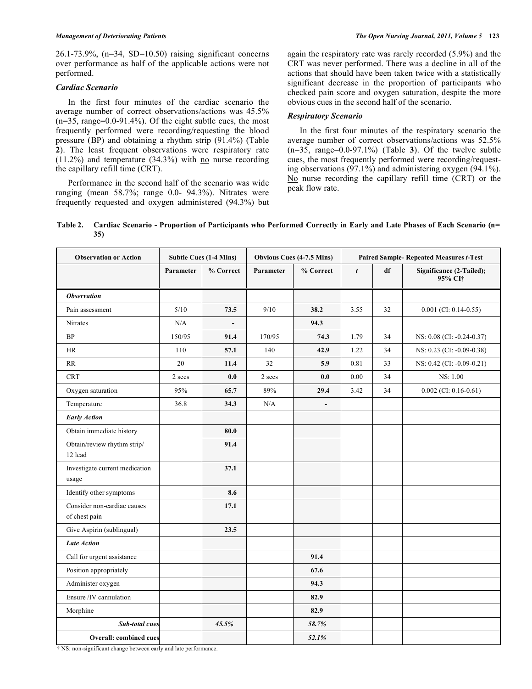26.1-73.9%, (n=34, SD=10.50) raising significant concerns over performance as half of the applicable actions were not performed.

# *Cardiac Scenario*

 In the first four minutes of the cardiac scenario the average number of correct observations/actions was 45.5%  $(n=35, range=0.0-91.4\%)$ . Of the eight subtle cues, the most frequently performed were recording/requesting the blood pressure (BP) and obtaining a rhythm strip (91.4%) (Table **2**). The least frequent observations were respiratory rate  $(11.2\%)$  and temperature  $(34.3\%)$  with no nurse recording the capillary refill time (CRT).

 Performance in the second half of the scenario was wide ranging (mean 58.7%; range 0.0- 94.3%). Nitrates were frequently requested and oxygen administered (94.3%) but again the respiratory rate was rarely recorded (5.9%) and the CRT was never performed. There was a decline in all of the actions that should have been taken twice with a statistically significant decrease in the proportion of participants who checked pain score and oxygen saturation, despite the more obvious cues in the second half of the scenario.

# *Respiratory Scenario*

 In the first four minutes of the respiratory scenario the average number of correct observations/actions was 52.5% (n=35, range=0.0-97.1%) (Table **3**). Of the twelve subtle cues, the most frequently performed were recording/requesting observations (97.1%) and administering oxygen (94.1%). No nurse recording the capillary refill time (CRT) or the peak flow rate.

# **Table 2. Cardiac Scenario - Proportion of Participants who Performed Correctly in Early and Late Phases of Each Scenario (n= 35)**

| <b>Observation or Action</b>                 | <b>Subtle Cues (1-4 Mins)</b> |           | <b>Obvious Cues (4-7.5 Mins)</b> |                          | <b>Paired Sample- Repeated Measures t-Test</b> |    |                                     |
|----------------------------------------------|-------------------------------|-----------|----------------------------------|--------------------------|------------------------------------------------|----|-------------------------------------|
|                                              | Parameter                     | % Correct | Parameter                        | % Correct                | $\boldsymbol{t}$                               | df | Significance (2-Tailed);<br>95% CI† |
| <b>Observation</b>                           |                               |           |                                  |                          |                                                |    |                                     |
| Pain assessment                              | 5/10                          | 73.5      | 9/10                             | 38.2                     | 3.55                                           | 32 | $0.001$ (CI: 0.14-0.55)             |
| Nitrates                                     | N/A                           |           |                                  | 94.3                     |                                                |    |                                     |
| <b>BP</b>                                    | 150/95                        | 91.4      | 170/95                           | 74.3                     | 1.79                                           | 34 | NS: 0.08 (CI: -0.24-0.37)           |
| HR                                           | 110                           | 57.1      | 140                              | 42.9                     | 1.22                                           | 34 | NS: 0.23 (CI: -0.09-0.38)           |
| RR                                           | 20                            | 11.4      | 32                               | 5.9                      | 0.81                                           | 33 | NS: 0.42 (CI: -0.09-0.21)           |
| <b>CRT</b>                                   | 2 secs                        | 0.0       | 2 secs                           | 0.0                      | 0.00                                           | 34 | NS: 1.00                            |
| Oxygen saturation                            | 95%                           | 65.7      | 89%                              | 29.4                     | 3.42                                           | 34 | $0.002$ (CI: 0.16-0.61)             |
| Temperature                                  | 36.8                          | 34.3      | N/A                              | $\overline{\phantom{a}}$ |                                                |    |                                     |
| <b>Early Action</b>                          |                               |           |                                  |                          |                                                |    |                                     |
| Obtain immediate history                     |                               | 80.0      |                                  |                          |                                                |    |                                     |
| Obtain/review rhythm strip/<br>12 lead       |                               | 91.4      |                                  |                          |                                                |    |                                     |
| Investigate current medication<br>usage      |                               | 37.1      |                                  |                          |                                                |    |                                     |
| Identify other symptoms                      |                               | 8.6       |                                  |                          |                                                |    |                                     |
| Consider non-cardiac causes<br>of chest pain |                               | 17.1      |                                  |                          |                                                |    |                                     |
| Give Aspirin (sublingual)                    |                               | 23.5      |                                  |                          |                                                |    |                                     |
| <b>Late Action</b>                           |                               |           |                                  |                          |                                                |    |                                     |
| Call for urgent assistance                   |                               |           |                                  | 91.4                     |                                                |    |                                     |
| Position appropriately                       |                               |           |                                  | 67.6                     |                                                |    |                                     |
| Administer oxygen                            |                               |           |                                  | 94.3                     |                                                |    |                                     |
| Ensure /IV cannulation                       |                               |           |                                  | 82.9                     |                                                |    |                                     |
| Morphine                                     |                               |           |                                  | 82.9                     |                                                |    |                                     |
| <b>Sub-total cues</b>                        |                               | 45.5%     |                                  | 58.7%                    |                                                |    |                                     |
| <b>Overall: combined cues</b>                |                               |           |                                  | 52.1%                    |                                                |    |                                     |

† NS: non-significant change between early and late performance.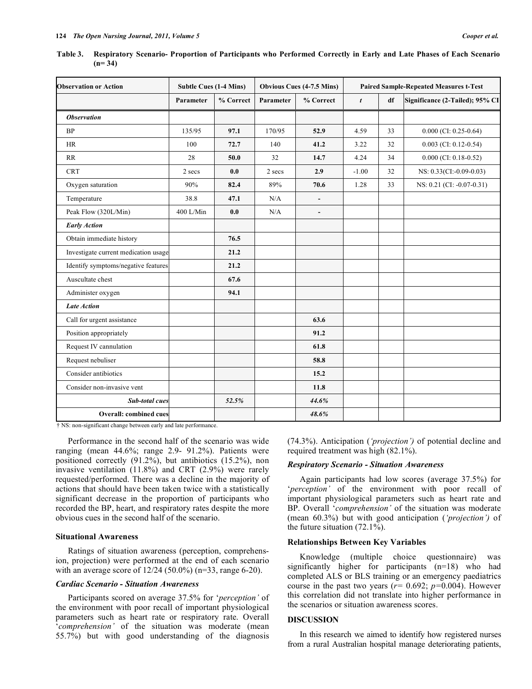| <b>Observation or Action</b>         | <b>Subtle Cues (1-4 Mins)</b> |           | <b>Obvious Cues (4-7.5 Mins)</b> |                          | <b>Paired Sample-Repeated Measures t-Test</b> |    |                                 |
|--------------------------------------|-------------------------------|-----------|----------------------------------|--------------------------|-----------------------------------------------|----|---------------------------------|
|                                      | Parameter                     | % Correct | Parameter                        | % Correct                | $\boldsymbol{t}$                              | df | Significance (2-Tailed); 95% CI |
| <b>Observation</b>                   |                               |           |                                  |                          |                                               |    |                                 |
| <b>BP</b>                            | 135/95                        | 97.1      | 170/95                           | 52.9                     | 4.59                                          | 33 | $0.000$ (CI: 0.25-0.64)         |
| HR                                   | 100                           | 72.7      | 140                              | 41.2                     | 3.22                                          | 32 | $0.003$ (CI: 0.12-0.54)         |
| RR                                   | 28                            | 50.0      | 32                               | 14.7                     | 4.24                                          | 34 | $0.000$ (CI: 0.18-0.52)         |
| <b>CRT</b>                           | 2 secs                        | 0.0       | 2 secs                           | 2.9                      | $-1.00$                                       | 32 | NS: 0.33(CI:-0.09-0.03)         |
| Oxygen saturation                    | 90%                           | 82.4      | 89%                              | 70.6                     | 1.28                                          | 33 | NS: 0.21 (CI: -0.07-0.31)       |
| Temperature                          | 38.8                          | 47.1      | N/A                              | $\overline{\phantom{a}}$ |                                               |    |                                 |
| Peak Flow (320L/Min)                 | 400 L/Min                     | 0.0       | N/A                              | $\blacksquare$           |                                               |    |                                 |
| <b>Early Action</b>                  |                               |           |                                  |                          |                                               |    |                                 |
| Obtain immediate history             |                               | 76.5      |                                  |                          |                                               |    |                                 |
| Investigate current medication usage |                               | 21.2      |                                  |                          |                                               |    |                                 |
| Identify symptoms/negative features  |                               | 21.2      |                                  |                          |                                               |    |                                 |
| Auscultate chest                     |                               | 67.6      |                                  |                          |                                               |    |                                 |
| Administer oxygen                    |                               | 94.1      |                                  |                          |                                               |    |                                 |
| <b>Late Action</b>                   |                               |           |                                  |                          |                                               |    |                                 |
| Call for urgent assistance           |                               |           |                                  | 63.6                     |                                               |    |                                 |
| Position appropriately               |                               |           |                                  | 91.2                     |                                               |    |                                 |
| Request IV cannulation               |                               |           |                                  | 61.8                     |                                               |    |                                 |
| Request nebuliser                    |                               |           |                                  | 58.8                     |                                               |    |                                 |
| Consider antibiotics                 |                               |           |                                  | 15.2                     |                                               |    |                                 |
| Consider non-invasive vent           |                               |           |                                  | 11.8                     |                                               |    |                                 |
| <b>Sub-total cues</b>                |                               | 52.5%     |                                  | 44.6%                    |                                               |    |                                 |
| Overall: combined cues               |                               |           |                                  | 48.6%                    |                                               |    |                                 |

**Table 3. Respiratory Scenario- Proportion of Participants who Performed Correctly in Early and Late Phases of Each Scenario (n= 34)** 

† NS: non-significant change between early and late performance.

 Performance in the second half of the scenario was wide ranging (mean 44.6%; range 2.9- 91.2%). Patients were positioned correctly (91.2%), but antibiotics (15.2%), non invasive ventilation (11.8%) and CRT (2.9%) were rarely requested/performed. There was a decline in the majority of actions that should have been taken twice with a statistically significant decrease in the proportion of participants who recorded the BP, heart, and respiratory rates despite the more obvious cues in the second half of the scenario.

#### **Situational Awareness**

 Ratings of situation awareness (perception, comprehension, projection) were performed at the end of each scenario with an average score of 12/24 (50.0%) (n=33, range 6-20).

#### *Cardiac Scenario - Situation Awareness*

 Participants scored on average 37.5% for '*perception'* of the environment with poor recall of important physiological parameters such as heart rate or respiratory rate. Overall '*comprehension'* of the situation was moderate (mean 55.7%) but with good understanding of the diagnosis

(74.3%). Anticipation (*'projection')* of potential decline and required treatment was high (82.1%).

## *Respiratory Scenario - Situation Awareness*

 Again participants had low scores (average 37.5%) for '*perception'* of the environment with poor recall of important physiological parameters such as heart rate and BP. Overall '*comprehension'* of the situation was moderate (mean 60.3%) but with good anticipation (*'projection')* of the future situation (72.1%).

# **Relationships Between Key Variables**

 Knowledge (multiple choice questionnaire) was significantly higher for participants (n=18) who had completed ALS or BLS training or an emergency paediatrics course in the past two years  $(r=0.692; p=0.004)$ . However this correlation did not translate into higher performance in the scenarios or situation awareness scores.

#### **DISCUSSION**

 In this research we aimed to identify how registered nurses from a rural Australian hospital manage deteriorating patients,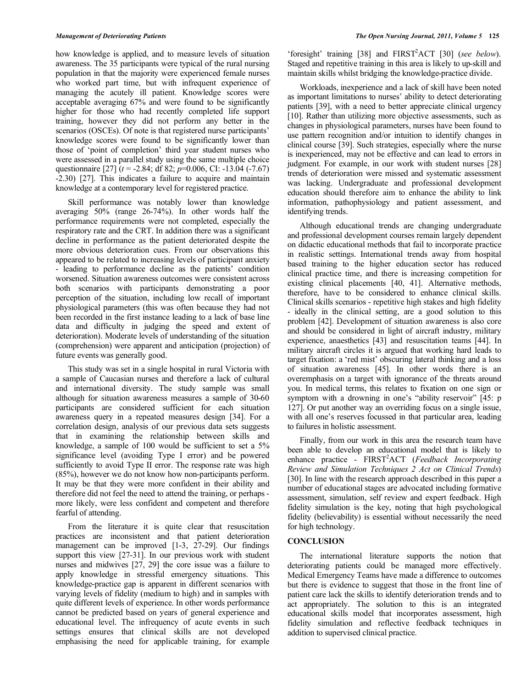how knowledge is applied, and to measure levels of situation awareness. The 35 participants were typical of the rural nursing population in that the majority were experienced female nurses who worked part time, but with infrequent experience of managing the acutely ill patient. Knowledge scores were acceptable averaging 67% and were found to be significantly higher for those who had recently completed life support training, however they did not perform any better in the scenarios (OSCEs). Of note is that registered nurse participants' knowledge scores were found to be significantly lower than those of 'point of completion' third year student nurses who were assessed in a parallel study using the same multiple choice questionnaire [27] (*t* = -2.84; df 82; *p*=0.006, CI: -13.04 (-7.67) -2.30) [27]. This indicates a failure to acquire and maintain knowledge at a contemporary level for registered practice.

 Skill performance was notably lower than knowledge averaging 50% (range 26-74%). In other words half the performance requirements were not completed, especially the respiratory rate and the CRT. In addition there was a significant decline in performance as the patient deteriorated despite the more obvious deterioration cues. From our observations this appeared to be related to increasing levels of participant anxiety - leading to performance decline as the patients' condition worsened. Situation awareness outcomes were consistent across both scenarios with participants demonstrating a poor perception of the situation, including low recall of important physiological parameters (this was often because they had not been recorded in the first instance leading to a lack of base line data and difficulty in judging the speed and extent of deterioration). Moderate levels of understanding of the situation (comprehension) were apparent and anticipation (projection) of future events was generally good.

 This study was set in a single hospital in rural Victoria with a sample of Caucasian nurses and therefore a lack of cultural and international diversity. The study sample was small although for situation awareness measures a sample of 30-60 participants are considered sufficient for each situation awareness query in a repeated measures design [34]. For a correlation design, analysis of our previous data sets suggests that in examining the relationship between skills and knowledge, a sample of 100 would be sufficient to set a 5% significance level (avoiding Type I error) and be powered sufficiently to avoid Type II error. The response rate was high (85%), however we do not know how non-participants perform. It may be that they were more confident in their ability and therefore did not feel the need to attend the training, or perhaps more likely, were less confident and competent and therefore fearful of attending.

 From the literature it is quite clear that resuscitation practices are inconsistent and that patient deterioration management can be improved [1-3, 27-29]. Our findings support this view [27-31]. In our previous work with student nurses and midwives [27, 29] the core issue was a failure to apply knowledge in stressful emergency situations. This knowledge-practice gap is apparent in different scenarios with varying levels of fidelity (medium to high) and in samples with quite different levels of experience. In other words performance cannot be predicted based on years of general experience and educational level. The infrequency of acute events in such settings ensures that clinical skills are not developed emphasising the need for applicable training, for example

'foresight' training [38] and FIRST<sup>2</sup>ACT [30] (*see below*). Staged and repetitive training in this area is likely to up-skill and maintain skills whilst bridging the knowledge-practice divide.

 Workloads, inexperience and a lack of skill have been noted as important limitations to nurses' ability to detect deteriorating patients [39], with a need to better appreciate clinical urgency [10]. Rather than utilizing more objective assessments, such as changes in physiological parameters, nurses have been found to use pattern recognition and/or intuition to identify changes in clinical course [39]. Such strategies, especially where the nurse is inexperienced, may not be effective and can lead to errors in judgment. For example, in our work with student nurses [28] trends of deterioration were missed and systematic assessment was lacking. Undergraduate and professional development education should therefore aim to enhance the ability to link information, pathophysiology and patient assessment, and identifying trends.

 Although educational trends are changing undergraduate and professional development courses remain largely dependent on didactic educational methods that fail to incorporate practice in realistic settings. International trends away from hospital based training to the higher education sector has reduced clinical practice time, and there is increasing competition for existing clinical placements [40, 41]. Alternative methods, therefore, have to be considered to enhance clinical skills. Clinical skills scenarios - repetitive high stakes and high fidelity - ideally in the clinical setting, are a good solution to this problem [42]. Development of situation awareness is also core and should be considered in light of aircraft industry, military experience, anaesthetics [43] and resuscitation teams [44]. In military aircraft circles it is argued that working hard leads to target fixation: a 'red mist' obscuring lateral thinking and a loss of situation awareness [45]. In other words there is an overemphasis on a target with ignorance of the threats around you. In medical terms, this relates to fixation on one sign or symptom with a drowning in one's "ability reservoir" [45: p 127]. Or put another way an overriding focus on a single issue, with all one's reserves focussed in that particular area, leading to failures in holistic assessment.

 Finally, from our work in this area the research team have been able to develop an educational model that is likely to enhance practice - FIRST<sup>2</sup>ACT (*Feedback Incorporating Review and Simulation Techniques 2 Act on Clinical Trends*) [30]. In line with the research approach described in this paper a number of educational stages are advocated including formative assessment, simulation, self review and expert feedback. High fidelity simulation is the key, noting that high psychological fidelity (believability) is essential without necessarily the need for high technology.

# **CONCLUSION**

 The international literature supports the notion that deteriorating patients could be managed more effectively. Medical Emergency Teams have made a difference to outcomes but there is evidence to suggest that those in the front line of patient care lack the skills to identify deterioration trends and to act appropriately. The solution to this is an integrated educational skills model that incorporates assessment, high fidelity simulation and reflective feedback techniques in addition to supervised clinical practice.